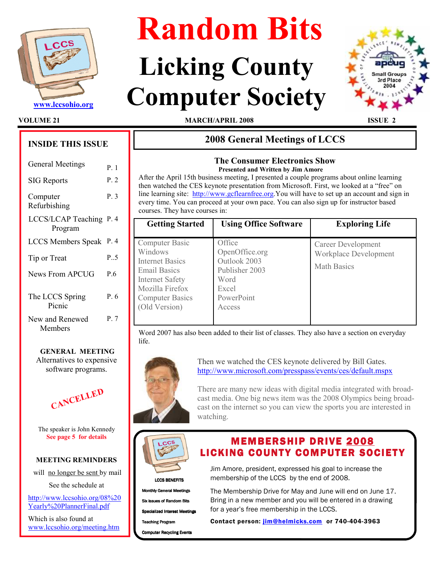

# Random Bits

# Licking County WWW.lccsohio.org Computer Society



VOLUME 21 **MARCH/APRIL 2008** ISSUE

# INSIDE THIS ISSUE

| <b>General Meetings</b>            | $P_{\perp}$ 1 |
|------------------------------------|---------------|
| <b>SIG Reports</b>                 | P. 2          |
| Computer<br>Refurbishing           | P.3           |
| LCCS/LCAP Teaching P. 4<br>Program |               |
| <b>LCCS Members Speak</b>          | P. 4          |
| Tip or Treat                       | P. 5          |
| <b>News From APCUG</b>             | P.6           |
| The LCCS Spring<br>Picnic          | P. 6          |
| New and Renewed<br>Members         | P.7           |

# GENERAL MEETING Alternatives to expensive software programs.



The speaker is John Kennedy See page 5 for details

# MEETING REMINDERS

will no longer be sent by mail

See the schedule at

http://www.lccsohio.org/08%20 Yearly%20PlannerFinal.pdf

Which is also found at www.lccsohio.org/meeting.htm

# 2008 General Meetings of LCCS

# The Consumer Electronics Show Presented and Written by Jim Amore

After the April 15th business meeting, I presented a couple programs about online learning then watched the CES keynote presentation from Microsoft. First, we looked at a "free" on line learning site: http://www.gcflearnfree.org.You will have to set up an account and sign in every time. You can proceed at your own pace. You can also sign up for instructor based courses. They have courses in:

| <b>Getting Started</b>                                                                                                                                             | <b>Using Office Software</b>                                                                        | <b>Exploring Life</b>                                             |
|--------------------------------------------------------------------------------------------------------------------------------------------------------------------|-----------------------------------------------------------------------------------------------------|-------------------------------------------------------------------|
| Computer Basic<br>Windows<br><b>Internet Basics</b><br><b>Email Basics</b><br><b>Internet Safety</b><br>Mozilla Firefox<br><b>Computer Basics</b><br>(Old Version) | Office<br>OpenOffice.org<br>Outlook 2003<br>Publisher 2003<br>Word<br>Excel<br>PowerPoint<br>Access | Career Development<br>Workplace Development<br><b>Math Basics</b> |

Word 2007 has also been added to their list of classes. They also have a section on everyday life.



Then we watched the CES keynote delivered by Bill Gates. http://www.microsoft.com/presspass/events/ces/default.mspx

There are many new ideas with digital media integrated with broadcast media. One big news item was the 2008 Olympics being broadcast on the internet so you can view the sports you are interested in watching.



LCCS BENEFITS **Monthly General Meetings** 

Six issues of Random Bits

Specialized Interest Meetings

**Teaching Program** 

**Computer Recycling Events** 

Jim Amore, president, expressed his goal to increase the membership of the LCCS by the end of 2008.

**MEMBERSHIP DRIVE 2008 LICKING COUNTY COMPUTER SOCIETY** 

The Membership Drive for May and June will end on June 17. Bring in a new member and you will be entered in a drawing for a year's free membership in the LCCS.

Contact person: jim@helmicks.com or 740-404-3963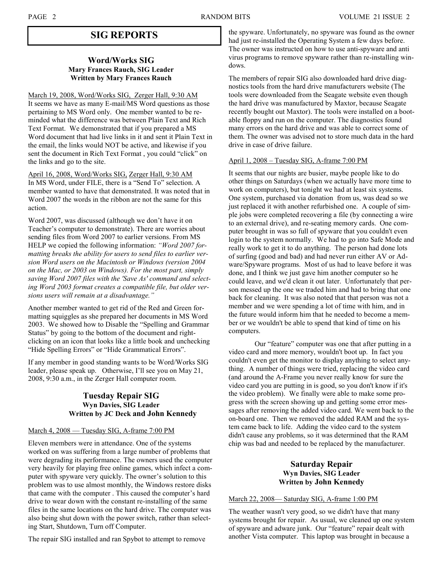# SIG REPORTS

## Word/Works SIG Mary Frances Rauch, SIG Leader Written by Mary Frances Rauch

March 19, 2008, Word/Works SIG, Zerger Hall, 9:30 AM It seems we have as many E-mail/MS Word questions as those pertaining to MS Word only. One member wanted to be reminded what the difference was between Plain Text and Rich Text Format. We demonstrated that if you prepared a MS Word document that had live links in it and sent it Plain Text in the email, the links would NOT be active, and likewise if you sent the document in Rich Text Format , you could "click" on the links and go to the site.

April 16, 2008, Word/Works SIG, Zerger Hall, 9:30 AM In MS Word, under FILE, there is a "Send To" selection. A member wanted to have that demonstrated. It was noted that in Word 2007 the words in the ribbon are not the same for this action.

Word 2007, was discussed (although we don't have it on Teacher's computer to demonstrate). There are worries about sending files from Word 2007 to earlier versions. From MS HELP we copied the following information: "Word 2007 formatting breaks the ability for users to send files to earlier version Word users on the Macintosh or Windows (version 2004 on the Mac, or 2003 on Windows). For the most part, simply saving Word 2007 files with the 'Save As' command and selecting Word 2003 format creates a compatible file, but older versions users will remain at a disadvantage."

Another member wanted to get rid of the Red and Green formatting squiggles as she prepared her documents in MS Word 2003. We showed how to Disable the "Spelling and Grammar Status" by going to the bottom of the document and rightclicking on an icon that looks like a little book and unchecking "Hide Spelling Errors" or "Hide Grammatical Errors".

If any member in good standing wants to be Word/Works SIG leader, please speak up. Otherwise, I'll see you on May 21, 2008, 9:30 a.m., in the Zerger Hall computer room.

# Tuesday Repair SIG Wyn Davies, SIG Leader Written by JC Deck and John Kennedy

#### March 4, 2008 — Tuesday SIG, A-frame 7:00 PM

Eleven members were in attendance. One of the systems worked on was suffering from a large number of problems that were degrading its performance. The owners used the computer very heavily for playing free online games, which infect a computer with spyware very quickly. The owner's solution to this problem was to use almost monthly, the Windows restore disks that came with the computer . This caused the computer's hard drive to wear down with the constant re-installing of the same files in the same locations on the hard drive. The computer was also being shut down with the power switch, rather than selecting Start, Shutdown, Turn off Computer.

The repair SIG installed and ran Spybot to attempt to remove

the spyware. Unfortunately, no spyware was found as the owner had just re-installed the Operating System a few days before. The owner was instructed on how to use anti-spyware and anti virus programs to remove spyware rather than re-installing windows.

The members of repair SIG also downloaded hard drive diagnostics tools from the hard drive manufacturers website (The tools were downloaded from the Seagate website even though the hard drive was manufactured by Maxtor, because Seagate recently bought out Maxtor). The tools were installed on a bootable floppy and run on the computer. The diagnostics found many errors on the hard drive and was able to correct some of them. The owner was advised not to store much data in the hard drive in case of drive failure.

#### April 1, 2008 – Tuesday SIG, A-frame 7:00 PM

It seems that our nights are busier, maybe people like to do other things on Saturdays (when we actually have more time to work on computers), but tonight we had at least six systems. One system, purchased via donation from us, was dead so we just replaced it with another refurbished one. A couple of simple jobs were completed recovering a file (by connecting a wire to an external drive), and re-seating memory cards. One computer brought in was so full of spyware that you couldn't even login to the system normally. We had to go into Safe Mode and really work to get it to do anything. The person had done lots of surfing (good and bad) and had never run either AV or Adware/Spyware programs. Most of us had to leave before it was done, and I think we just gave him another computer so he could leave, and we'd clean it out later. Unfortunately that person messed up the one we traded him and had to bring that one back for cleaning. It was also noted that that person was not a member and we were spending a lot of time with him, and in the future would inform him that he needed to become a member or we wouldn't be able to spend that kind of time on his computers.

 Our "feature" computer was one that after putting in a video card and more memory, wouldn't boot up. In fact you couldn't even get the monitor to display anything to select anything. A number of things were tried, replacing the video card (and around the A-Frame you never really know for sure the video card you are putting in is good, so you don't know if it's the video problem). We finally were able to make some progress with the screen showing up and getting some error messages after removing the added video card. We went back to the on-board one. Then we removed the added RAM and the system came back to life. Adding the video card to the system didn't cause any problems, so it was determined that the RAM chip was bad and needed to be replaced by the manufacturer.

# Saturday Repair Wyn Davies, SIG Leader Written by John Kennedy

#### March 22, 2008— Saturday SIG, A-frame 1:00 PM

The weather wasn't very good, so we didn't have that many systems brought for repair. As usual, we cleaned up one system of spyware and adware junk. Our "feature" repair dealt with another Vista computer. This laptop was brought in because a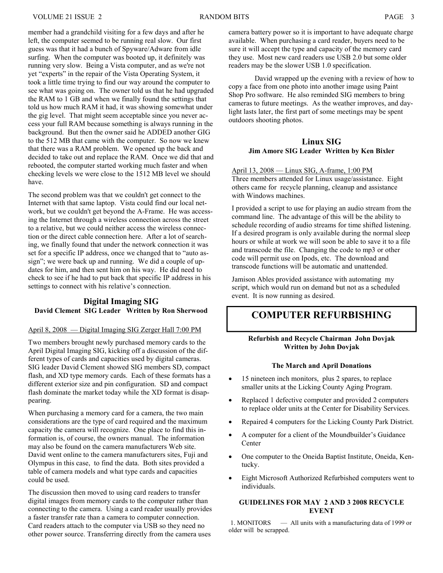member had a grandchild visiting for a few days and after he left, the computer seemed to be running real slow. Our first guess was that it had a bunch of Spyware/Adware from idle surfing. When the computer was booted up, it definitely was running very slow. Being a Vista computer, and as we're not yet "experts" in the repair of the Vista Operating System, it took a little time trying to find our way around the computer to see what was going on. The owner told us that he had upgraded the RAM to 1 GB and when we finally found the settings that told us how much RAM it had, it was showing somewhat under the gig level. That might seem acceptable since you never access your full RAM because something is always running in the background. But then the owner said he ADDED another GIG to the 512 MB that came with the computer. So now we knew that there was a RAM problem. We opened up the back and decided to take out and replace the RAM. Once we did that and rebooted, the computer started working much faster and when checking levels we were close to the 1512 MB level we should have.

The second problem was that we couldn't get connect to the Internet with that same laptop. Vista could find our local network, but we couldn't get beyond the A-Frame. He was accessing the Internet through a wireless connection across the street to a relative, but we could neither access the wireless connection or the direct cable connection here. After a lot of searching, we finally found that under the network connection it was set for a specific IP address, once we changed that to "auto assign"; we were back up and running. We did a couple of updates for him, and then sent him on his way. He did need to check to see if he had to put back that specific IP address in his settings to connect with his relative's connection.

# Digital Imaging SIG David Clement SIG Leader Written by Ron Sherwood

## April 8, 2008 — Digital Imaging SIG Zerger Hall 7:00 PM

Two members brought newly purchased memory cards to the April Digital Imaging SIG, kicking off a discussion of the different types of cards and capacities used by digital cameras. SIG leader David Clement showed SIG members SD, compact flash, and XD type memory cards. Each of these formats has a different exterior size and pin configuration. SD and compact flash dominate the market today while the XD format is disappearing.

When purchasing a memory card for a camera, the two main considerations are the type of card required and the maximum capacity the camera will recognize. One place to find this information is, of course, the owners manual. The information may also be found on the camera manufacturers Web site. David went online to the camera manufacturers sites, Fuji and Olympus in this case, to find the data. Both sites provided a table of camera models and what type cards and capacities could be used.

The discussion then moved to using card readers to transfer digital images from memory cards to the computer rather than connecting to the camera. Using a card reader usually provides a faster transfer rate than a camera to computer connection. Card readers attach to the computer via USB so they need no other power source. Transferring directly from the camera uses

camera battery power so it is important to have adequate charge available. When purchasing a card reader, buyers need to be sure it will accept the type and capacity of the memory card they use. Most new card readers use USB 2.0 but some older readers may be the slower USB 1.0 specification.

 David wrapped up the evening with a review of how to copy a face from one photo into another image using Paint Shop Pro software. He also reminded SIG members to bring cameras to future meetings. As the weather improves, and daylight lasts later, the first part of some meetings may be spent outdoors shooting photos.

# Linux SIG Jim Amore SIG Leader Written by Ken Bixler

April 13, 2008 — Linux SIG, A-frame, 1:00 PM Three members attended for Linux usage/assistance. Eight others came for recycle planning, cleanup and assistance with Windows machines.

I provided a script to use for playing an audio stream from the command line. The advantage of this will be the ability to schedule recording of audio streams for time shifted listening. If a desired program is only available during the normal sleep hours or while at work we will soon be able to save it to a file and transcode the file. Changing the code to mp3 or other code will permit use on Ipods, etc. The download and transcode functions will be automatic and unattended.

Jamison Ables provided assistance with automating my script, which would run on demand but not as a scheduled event. It is now running as desired.

# COMPUTER REFURBISHING

# Refurbish and Recycle Chairman John Dovjak Written by John Dovjak

## The March and April Donations

- 15 nineteen inch monitors, plus 2 spares, to replace smaller units at the Licking County Aging Program.
- Replaced 1 defective computer and provided 2 computers to replace older units at the Center for Disability Services.
- Repaired 4 computers for the Licking County Park District.
- A computer for a client of the Moundbuilder's Guidance **Center**
- One computer to the Oneida Baptist Institute, Oneida, Kentucky.
- Eight Microsoft Authorized Refurbished computers went to individuals.

## GUIDELINES FOR MAY 2 AND 3 2008 RECYCLE EVENT

1. MONITORS — All units with a manufacturing data of 1999 or older will be scrapped.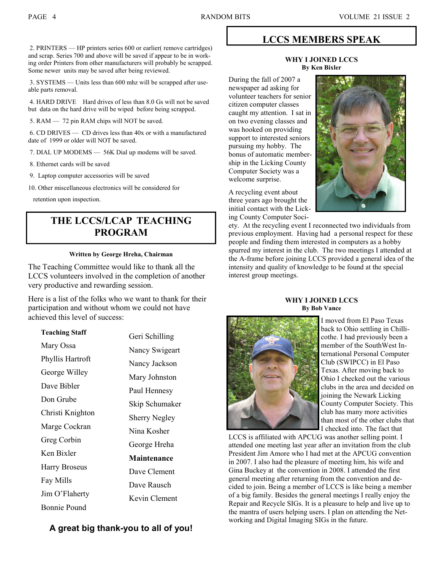2. PRINTERS — HP printers series 600 or earlier( remove cartridges) and scrap. Series 700 and above will be saved if appear to be in working order Printers from other manufacturers will probably be scrapped. Some newer units may be saved after being reviewed.

 3. SYSTEMS — Units less than 600 mhz will be scrapped after useable parts removal.

 4. HARD DRIVE Hard drives of less than 8.0 Gs will not be saved but data on the hard drive will be wiped before being scrapped.

5. RAM — 72 pin RAM chips will NOT be saved.

 6. CD DRIVES — CD drives less than 40x or with a manufactured date of 1999 or older will NOT be saved.

- 7. DIAL UP MODEMS 56K Dial up modems will be saved.
- 8. Ethernet cards will be saved
- 9. Laptop computer accessories will be saved
- 10. Other miscellaneous electronics will be considered for

retention upon inspection.

# THE LCCS/LCAP TEACHING PROGRAM

#### Written by George Hreha, Chairman

The Teaching Committee would like to thank all the LCCS volunteers involved in the completion of another very productive and rewarding session.

Here is a list of the folks who we want to thank for their participation and without whom we could not have achieved this level of success:

| <b>Teaching Staff</b> | Geri Schilling       |
|-----------------------|----------------------|
| Mary Ossa             | Nancy Swigeart       |
| Phyllis Hartroft      | Nancy Jackson        |
| George Willey         | Mary Johnston        |
| Dave Bibler           |                      |
| Don Grube             | Paul Hennesy         |
| Christi Knighton      | Skip Schumaker       |
| Marge Cockran         | <b>Sherry Negley</b> |
| Greg Corbin           | Nina Kosher          |
| Ken Bixler            | George Hreha         |
|                       | <b>Maintenance</b>   |
| <b>Harry Broseus</b>  | Dave Clement         |
| Fay Mills             | Dave Rausch          |
| Jim O'Flaherty        | Kevin Clement        |
| Bonnie Pound          |                      |

# A great big thank-you to all of you!

# LCCS MEMBERS SPEAK

#### WHY I JOINED LCCS By Ken Bixler

During the fall of 2007 a newspaper ad asking for volunteer teachers for senior citizen computer classes caught my attention. I sat in on two evening classes and was hooked on providing support to interested seniors pursuing my hobby. The bonus of automatic membership in the Licking County Computer Society was a welcome surprise.

A recycling event about three years ago brought the initial contact with the Licking County Computer Soci-



ety. At the recycling event I reconnected two individuals from previous employment. Having had a personal respect for these people and finding them interested in computers as a hobby spurred my interest in the club. The two meetings I attended at the A-frame before joining LCCS provided a general idea of the intensity and quality of knowledge to be found at the special interest group meetings.

#### WHY I JOINED LCCS By Bob Vance



I moved from El Paso Texas back to Ohio settling in Chillicothe. I had previously been a member of the SouthWest International Personal Computer Club (SWIPCC) in El Paso Texas. After moving back to Ohio I checked out the various clubs in the area and decided on joining the Newark Licking County Computer Society. This club has many more activities than most of the other clubs that I checked into. The fact that

LCCS is affiliated with APCUG was another selling point. I attended one meeting last year after an invitation from the club President Jim Amore who I had met at the APCUG convention in 2007. I also had the pleasure of meeting him, his wife and Gina Buckey at the convention in 2008. I attended the first general meeting after returning from the convention and decided to join. Being a member of LCCS is like being a member of a big family. Besides the general meetings I really enjoy the Repair and Recycle SIGs. It is a pleasure to help and live up to the mantra of users helping users. I plan on attending the Networking and Digital Imaging SIGs in the future.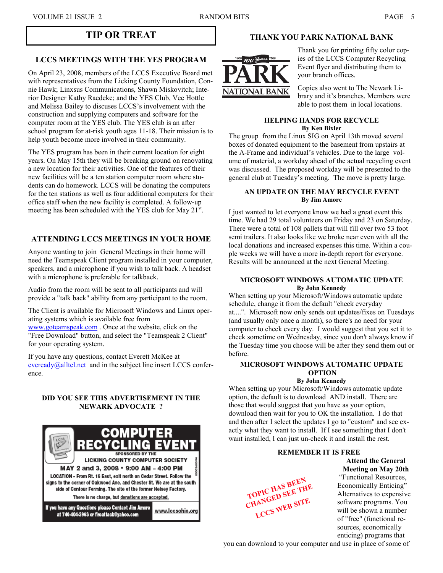# LCCS MEETINGS WITH THE YES PROGRAM

On April 23, 2008, members of the LCCS Executive Board met with representatives from the Licking County Foundation, Connie Hawk; Linxsus Communications, Shawn Miskovitch; Interior Designer Kathy Raedeke; and the YES Club, Vee Hottle and Melissa Bailey to discuses LCCS's involvement with the construction and supplying computers and software for the computer room at the YES club. The YES club is an after school program for at-risk youth ages 11-18. Their mission is to help youth become more involved in their community.

The YES program has been in their current location for eight years. On May 15th they will be breaking ground on renovating a new location for their activities. One of the features of their new facilities will be a ten station computer room where students can do homework. LCCS will be donating the computers for the ten stations as well as four additional computers for their office staff when the new facility is completed. A follow-up meeting has been scheduled with the YES club for May  $21^{st}$ .

# ATTENDING LCCS MEETINGS IN YOUR HOME

Anyone wanting to join General Meetings in their home will need the Teamspeak Client program installed in your computer, speakers, and a microphone if you wish to talk back. A headset with a microphone is preferable for talkback.

Audio from the room will be sent to all participants and will provide a "talk back" ability from any participant to the room.

The Client is available for Microsoft Windows and Linux operating systems which is available free from www.goteamspeak.com . Once at the website, click on the "Free Download" button, and select the "Teamspeak 2 Client" for your operating system.

If you have any questions, contact Everett McKee at eveready@alltel.net and in the subject line insert LCCS conference.

# DID YOU SEE THIS ADVERTISEMENT IN THE NEWARK ADVOCATE ?



# TIP OR TREAT THANK YOU PARK NATIONAL BANK



Thank you for printing fifty color copies of the LCCS Computer Recycling Event flyer and distributing them to your branch offices.

Copies also went to The Newark Library and it's branches. Members were able to post them in local locations.

#### HELPING HANDS FOR RECYCLE By Ken Bixler

The group from the Linux SIG on April 13th moved several boxes of donated equipment to the basement from upstairs at the A-Frame and individual's vehicles. Due to the large volume of material, a workday ahead of the actual recycling event was discussed. The proposed workday will be presented to the general club at Tuesday's meeting. The move is pretty large.

#### AN UPDATE ON THE MAY RECYCLE EVENT By Jim Amore

I just wanted to let everyone know we had a great event this time. We had 29 total volunteers on Friday and 23 on Saturday. There were a total of 108 pallets that will fill over two 53 foot semi trailers. It also looks like we broke near even with all the local donations and increased expenses this time. Within a couple weeks we will have a more in-depth report for everyone. Results will be announced at the next General Meeting.

#### MICROSOFT WINDOWS AUTOMATIC UPDATE By John Kennedy

When setting up your Microsoft/Windows automatic update schedule, change it from the default "check everyday at....". Microsoft now only sends out updates/fixes on Tuesdays (and usually only once a month), so there's no need for your computer to check every day. I would suggest that you set it to check sometime on Wednesday, since you don't always know if the Tuesday time you choose will be after they send them out or before.

# MICROSOFT WINDOWS AUTOMATIC UPDATE OPTION

#### By John Kennedy

When setting up your Microsoft/Windows automatic update option, the default is to download AND install. There are those that would suggest that you have as your option, download then wait for you to OK the installation. I do that and then after I select the updates I go to "custom" and see exactly what they want to install. If I see something that I don't want installed, I can just un-check it and install the rest.

## REMEMBER IT IS FREE

Attend the General Meeting on May 20th



 "Functional Resources, Economically Enticing" Alternatives to expensive software programs. You will be shown a number of "free" (functional resources, economically enticing) programs that

you can download to your computer and use in place of some of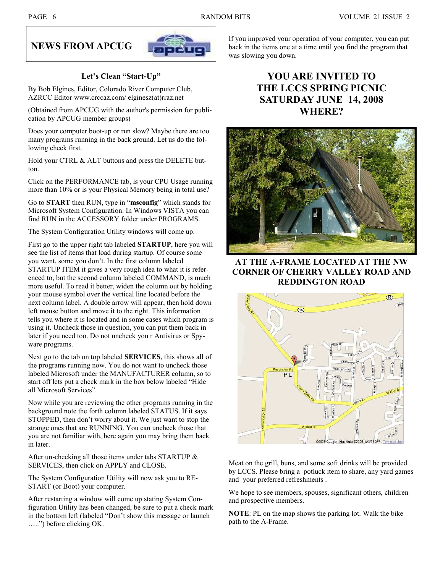# NEWS FROM APCUG



# Let's Clean "Start-Up"

By Bob Elgines, Editor, Colorado River Computer Club, AZRCC Editor www.crccaz.com/ elginesz(at)rraz.net

(Obtained from APCUG with the author's permission for publication by APCUG member groups)

Does your computer boot-up or run slow? Maybe there are too many programs running in the back ground. Let us do the following check first.

Hold your CTRL & ALT buttons and press the DELETE button.

Click on the PERFORMANCE tab, is your CPU Usage running more than 10% or is your Physical Memory being in total use?

Go to START then RUN, type in "msconfig" which stands for Microsoft System Configuration. In Windows VISTA you can find RUN in the ACCESSORY folder under PROGRAMS.

The System Configuration Utility windows will come up.

First go to the upper right tab labeled STARTUP, here you will see the list of items that load during startup. Of course some you want, some you don't. In the first column labeled STARTUP ITEM it gives a very rough idea to what it is referenced to, but the second column labeled COMMAND, is much more useful. To read it better, widen the column out by holding your mouse symbol over the vertical line located before the next column label. A double arrow will appear, then hold down left mouse button and move it to the right. This information tells you where it is located and in some cases which program is using it. Uncheck those in question, you can put them back in later if you need too. Do not uncheck you r Antivirus or Spyware programs.

Next go to the tab on top labeled **SERVICES**, this shows all of the programs running now. You do not want to uncheck those labeled Microsoft under the MANUFACTURER column, so to start off lets put a check mark in the box below labeled "Hide all Microsoft Services".

Now while you are reviewing the other programs running in the background note the forth column labeled STATUS. If it says STOPPED, then don't worry about it. We just want to stop the strange ones that are RUNNING. You can uncheck those that you are not familiar with, here again you may bring them back in later.

After un-checking all those items under tabs STARTUP & SERVICES, then click on APPLY and CLOSE.

The System Configuration Utility will now ask you to RE-START (or Boot) your computer.

After restarting a window will come up stating System Configuration Utility has been changed, be sure to put a check mark in the bottom left (labeled "Don't show this message or launch …..") before clicking OK.

If you improved your operation of your computer, you can put back in the items one at a time until you find the program that was slowing you down.

# YOU ARE INVITED TO THE LCCS SPRING PICNIC SATURDAY JUNE 14, 2008 WHERE?



AT THE A-FRAME LOCATED AT THE NW CORNER OF CHERRY VALLEY ROAD AND REDDINGTON ROAD



Meat on the grill, buns, and some soft drinks will be provided by LCCS. Please bring a potluck item to share, any yard games and your preferred refreshments .

We hope to see members, spouses, significant others, children and prospective members.

NOTE: PL on the map shows the parking lot. Walk the bike path to the A-Frame.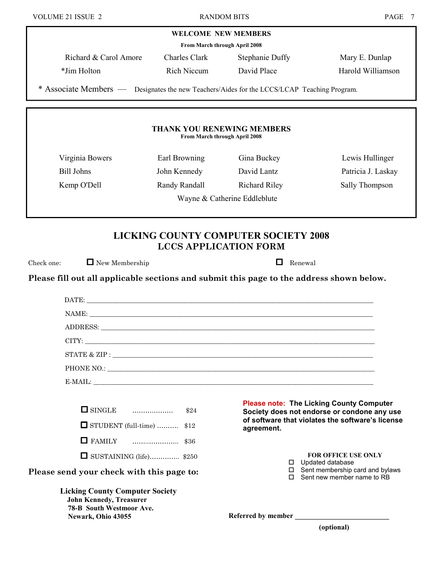| VOLUME 21 ISSUE 2                                                                           | <b>RANDOM BITS</b>                                                 |                              | PAGE 7                                                                                                       |
|---------------------------------------------------------------------------------------------|--------------------------------------------------------------------|------------------------------|--------------------------------------------------------------------------------------------------------------|
|                                                                                             | <b>WELCOME NEW MEMBERS</b>                                         |                              |                                                                                                              |
|                                                                                             | From March through April 2008                                      |                              |                                                                                                              |
| Richard & Carol Amore                                                                       | <b>Charles Clark</b>                                               | <b>Stephanie Duffy</b>       | Mary E. Dunlap                                                                                               |
| *Jim Holton                                                                                 | Rich Niccum                                                        | David Place                  | Harold Williamson                                                                                            |
| * Associate Members — Designates the new Teachers/Aides for the LCCS/LCAP Teaching Program. |                                                                    |                              |                                                                                                              |
|                                                                                             | <b>THANK YOU RENEWING MEMBERS</b><br>From March through April 2008 |                              |                                                                                                              |
|                                                                                             |                                                                    |                              |                                                                                                              |
| Virginia Bowers                                                                             | Earl Browning                                                      | Gina Buckey                  | Lewis Hullinger                                                                                              |
| <b>Bill Johns</b>                                                                           | John Kennedy                                                       | David Lantz                  | Patricia J. Laskay                                                                                           |
| Kemp O'Dell                                                                                 | Randy Randall                                                      | <b>Richard Riley</b>         | Sally Thompson                                                                                               |
|                                                                                             |                                                                    | Wayne & Catherine Eddleblute |                                                                                                              |
| Please fill out all applicable sections and submit this page to the address shown below.    |                                                                    |                              |                                                                                                              |
|                                                                                             |                                                                    |                              |                                                                                                              |
|                                                                                             |                                                                    | NAME:                        |                                                                                                              |
|                                                                                             |                                                                    |                              |                                                                                                              |
|                                                                                             |                                                                    |                              |                                                                                                              |
|                                                                                             |                                                                    |                              |                                                                                                              |
|                                                                                             |                                                                    |                              |                                                                                                              |
| $\Box$ SINGLE $\Box$ $\Box$                                                                 | \$24                                                               |                              | <b>Please note: The Licking County Computer</b><br>Society does not endorse or condone any use               |
| $\Box$ STUDENT (full-time)  \$12                                                            |                                                                    | agreement.                   | of software that violates the software's license                                                             |
| $\Box$ FAMILY                                                                               | . \$36                                                             |                              |                                                                                                              |
| $\Box$ SUSTAINING (life) \$250                                                              |                                                                    |                              |                                                                                                              |
|                                                                                             |                                                                    |                              | <b>FOR OFFICE USE ONLY</b>                                                                                   |
| Please send your check with this page to:                                                   |                                                                    |                              | $\Box$ Updated database<br>$\square$ Sent membership card and bylaws<br>$\square$ Sent new member name to RB |

Referred by member \_\_\_\_\_\_\_\_\_\_\_\_\_\_\_\_\_\_\_\_\_\_\_\_\_\_

John Kennedy, Treasurer 78-B South Westmoor Ave. Newark, Ohio 43055

(optional)